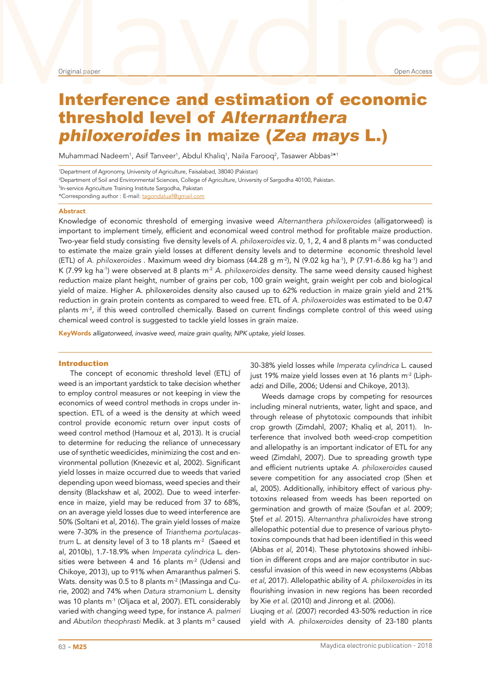# Original paper and estimation of economic Interference and estimation of economic threshold level of Alternanthera philoxeroides in maize (Zea mays L.)

Muhammad Nadeem<sup>1</sup>, Asif Tanveer<sup>1</sup>, Abdul Khaliq<sup>1</sup>, Naila Farooq<sup>2</sup>, Tasawer Abbas<sup>3\*1</sup>

1 Department of Agronomy, University of Agriculture, Faisalabad, 38040 (Pakistan)

2 Department of Soil and Environmental Sciences, College of Agriculture, University of Sargodha 40100, Pakistan.

3 In-service Agriculture Training Institute Sargodha, Pakistan

\*Corresponding author : E-mail: tagondaluaf@gmail.com

#### Abstract

Knowledge of economic threshold of emerging invasive weed *Alternanthera philoxeroides* (alligatorweed) is important to implement timely, efficient and economical weed control method for profitable maize production. Two-year field study consisting five density levels of *A. philoxeroides* viz. 0, 1, 2, 4 and 8 plants m-2 was conducted to estimate the maize grain yield losses at different density levels and to determine economic threshold level (ETL) of *A. philoxeroides* . Maximum weed dry biomass (44.28 g m-2), N (9.02 kg ha-1), P (7.91-6.86 kg ha-1) and K (7.99 kg ha<sup>-1</sup>) were observed at 8 plants m<sup>-2</sup> A. philoxeroides density. The same weed density caused highest reduction maize plant height, number of grains per cob, 100 grain weight, grain weight per cob and biological yield of maize. Higher A. philoxeroides density also caused up to 62% reduction in maize grain yield and 21% reduction in grain protein contents as compared to weed free. ETL of *A. philoxeroides* was estimated to be 0.47 plants  $m^2$ , if this weed controlled chemically. Based on current findings complete control of this weed using chemical weed control is suggested to tackle yield losses in grain maize.

KeyWords *alligatorweed, invasive weed, maize grain quality, NPK uptake, yield losses.*

# Introduction

The concept of economic threshold level (ETL) of weed is an important yardstick to take decision whether to employ control measures or not keeping in view the economics of weed control methods in crops under inspection. ETL of a weed is the density at which weed control provide economic return over input costs of weed control method (Hamouz et al, 2013). It is crucial to determine for reducing the reliance of unnecessary use of synthetic weedicides, minimizing the cost and environmental pollution (Knezevic et al, 2002). Significant yield losses in maize occurred due to weeds that varied depending upon weed biomass, weed species and their density (Blackshaw et al, 2002). Due to weed interference in maize, yield may be reduced from 37 to 68%, on an average yield losses due to weed interference are 50% (Soltani et al, 2016). The grain yield losses of maize were 7-30% in the presence of *Trianthema portulacastrum* L. at density level of 3 to 18 plants m<sup>-2</sup> (Saeed et al, 2010b), 1.7-18.9% when *Imperata cylindrica* L. densities were between 4 and 16 plants m<sup>-2</sup> (Udensi and Chikoye, 2013), up to 91% when Amaranthus palmeri S. Wats. density was 0.5 to 8 plants  $m<sup>2</sup>$  (Massinga and Curie, 2002) and 74% when *Datura stramonium* L. density was 10 plants m<sup>-1</sup> (Oliaca et al, 2007). ETL considerably varied with changing weed type, for instance *A. palmeri* and *Abutilon theophrasti* Medik. at 3 plants m-2 caused

30-38% yield losses while *Imperata cylindrica* L. caused just 19% maize yield losses even at 16 plants m<sup>-2</sup> (Liphadzi and Dille, 2006; Udensi and Chikoye, 2013).

Weeds damage crops by competing for resources including mineral nutrients, water, light and space, and through release of phytotoxic compounds that inhibit crop growth (Zimdahl, 2007; Khaliq et al, 2011). Interference that involved both weed-crop competition and allelopathy is an important indicator of ETL for any weed (Zimdahl, 2007). Due to spreading growth type and efficient nutrients uptake *A. philoxeroides* caused severe competition for any associated crop (Shen et al, 2005). Additionally, inhibitory effect of various phytotoxins released from weeds has been reported on germination and growth of maize (Soufan *et al*. 2009; Ştef *et al*. 2015). *Alternanthra phalixroides* have strong allelopathic potential due to presence of various phytotoxins compounds that had been identified in this weed (Abbas *et al*, 2014). These phytotoxins showed inhibition in different crops and are major contributor in successful invasion of this weed in new ecosystems (Abbas *et al*, 2017). Allelopathic ability of *A. philoxeroides* in its flourishing invasion in new regions has been recorded by Xie *et al*. (2010) and Jinrong et al. (2006).

Liuqing *et al*. (2007) recorded 43-50% reduction in rice yield with *A. philoxeroides* density of 23-180 plants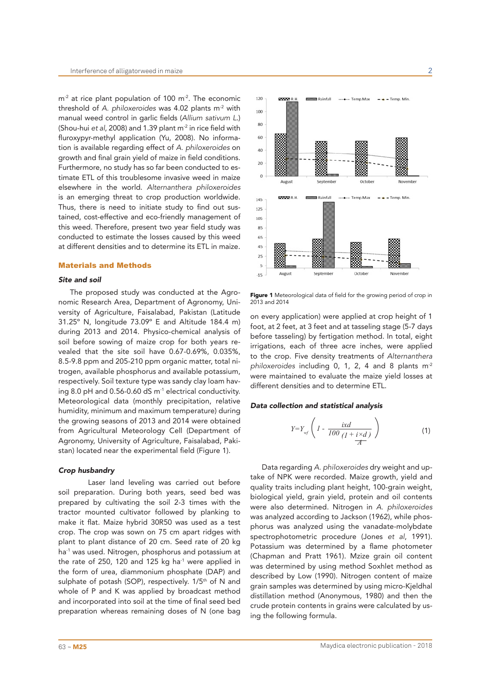$m<sup>2</sup>$  at rice plant population of 100 m<sup>-2</sup>. The economic threshold of *A. philoxeroides* was 4.02 plants m-2 with manual weed control in garlic fields (*Allium sativum L*.) (Shou-hui *et al*, 2008) and 1.39 plant m-2 in rice field with fluroxypyr-methyl application (Yu, 2008). No information is available regarding effect of *A. philoxeroides* on growth and final grain yield of maize in field conditions. Furthermore, no study has so far been conducted to estimate ETL of this troublesome invasive weed in maize elsewhere in the world. *Alternanthera philoxeroides* is an emerging threat to crop production worldwide. Thus, there is need to initiate study to find out sustained, cost-effective and eco-friendly management of this weed. Therefore, present two year field study was conducted to estimate the losses caused by this weed at different densities and to determine its ETL in maize.

## Materials and Methods

#### *Site and soil*

The proposed study was conducted at the Agronomic Research Area, Department of Agronomy, University of Agriculture, Faisalabad, Pakistan (Latitude 31.25º N, longitude 73.09º E and Altitude 184.4 m) during 2013 and 2014. Physico-chemical analysis of soil before sowing of maize crop for both years revealed that the site soil have 0.67-0.69%, 0.035%, 8.5-9.8 ppm and 205-210 ppm organic matter, total nitrogen, available phosphorus and available potassium, respectively. Soil texture type was sandy clay loam having 8.0 pH and 0.56-0.60 dS m<sup>-1</sup> electrical conductivity. Meteorological data (monthly precipitation, relative humidity, minimum and maximum temperature) during the growing seasons of 2013 and 2014 were obtained from Agricultural Meteorology Cell (Department of Agronomy, University of Agriculture, Faisalabad, Pakistan) located near the experimental field (Figure 1).

# *Crop husbandry*

Laser land leveling was carried out before soil preparation. During both years, seed bed was prepared by cultivating the soil 2-3 times with the tractor mounted cultivator followed by planking to make it flat. Maize hybrid 30R50 was used as a test crop. The crop was sown on 75 cm apart ridges with plant to plant distance of 20 cm. Seed rate of 20 kg ha<sup>-1</sup> was used. Nitrogen, phosphorus and potassium at the rate of 250, 120 and 125 kg ha $1$  were applied in the form of urea, diammonium phosphate (DAP) and sulphate of potash (SOP), respectively. 1/5<sup>th</sup> of N and whole of P and K was applied by broadcast method and incorporated into soil at the time of final seed bed preparation whereas remaining doses of N (one bag



Figure 1 Meteorological data of field for the growing period of crop in 2013 and 2014

on every application) were applied at crop height of 1 foot, at 2 feet, at 3 feet and at tasseling stage (5-7 days before tasseling) by fertigation method. In total, eight irrigations, each of three acre inches, were applied to the crop. Five density treatments of *Alternanthera philoxeroides* including 0, 1, 2, 4 and 8 plants m-2 were maintained to evaluate the maize yield losses at different densities and to determine ETL.

## *Data collection and statistical analysis*

$$
Y=Y_{\text{wf}}\left(1-\frac{ixd}{100\left(1+\frac{i\times d}{A}\right)}\right) \tag{1}
$$

Data regarding *A. philoxeroides* dry weight and uptake of NPK were recorded. Maize growth, yield and quality traits including plant height, 100-grain weight, biological yield, grain yield, protein and oil contents were also determined. Nitrogen in *A. philoxeroides* was analyzed according to Jackson (1962), while phosphorus was analyzed using the vanadate-molybdate spectrophotometric procedure (Jones *et al*, 1991). Potassium was determined by a flame photometer (Chapman and Pratt 1961). Mzize grain oil content was determined by using method Soxhlet method as described by Low (1990). Nitrogen content of maize grain samples was determined by using micro-Kjeldhal distillation method (Anonymous, 1980) and then the crude protein contents in grains were calculated by using the following formula.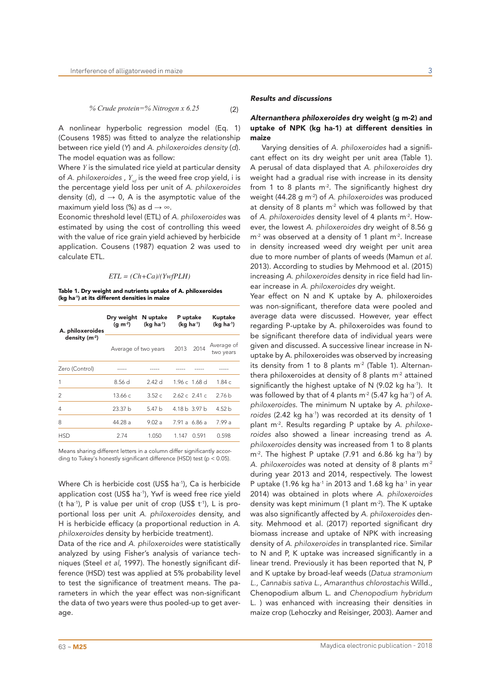A nonlinear hyperbolic regression model (Eq. 1) (Cousens 1985) was fitted to analyze the relationship between rice yield (*Y*) and *A. philoxeroides density* (*d*). The model equation was as follow:

Where *Y* is the simulated rice yield at particular density of *A. philoxeroides, Y<sub>w</sub> is the weed free crop yield, i is* the percentage yield loss per unit of *A. philoxeroides* density (d),  $d \rightarrow 0$ . A is the asymptotic value of the maximum yield loss (%) as  $d \rightarrow \infty$ .

Economic threshold level (ETL) of *A. philoxeroides* was estimated by using the cost of controlling this weed with the value of rice grain yield achieved by herbicide application. Cousens (1987) equation 2 was used to calculate ETL.

## *ETL = (Ch+Ca)/(YwfPLH)*

Table 1. Dry weight and nutrients uptake of A. philoxeroides (kg ha-1) at its different densities in maize

| A. philoxeroides | Dry weight<br>(q m <sup>2</sup> ) | N uptake<br>$(kq ha-1)$ | P uptake<br>$(kg ha-1)$ |                | Kuptake<br>$(kq ha-1)$  |
|------------------|-----------------------------------|-------------------------|-------------------------|----------------|-------------------------|
| density $(m-2)$  | Average of two years              |                         | 2013                    | 2014           | Average of<br>two years |
| Zero (Control)   |                                   |                         |                         |                |                         |
| 1                | 8.56 d                            | 2.42d                   |                         | 1.96 c 1.68 d  | 1.84c                   |
| $\overline{2}$   | 13.66c                            | 3.52c                   |                         | $2.62c$ 2.41 c | 2.76 <sub>b</sub>       |
| 4                | 23.37 <sub>b</sub>                | 5.47h                   |                         | 4.18 b 3.97 b  | 4.52 <sub>b</sub>       |
| 8                | 44.28 a                           | 9.02a                   |                         | 7.91 a 6.86 a  | 7.99 a                  |
| HSD              | 2.74                              | 1.050                   | 1.147                   | 0.591          | 0.598                   |

Means sharing different letters in a column differ significantly according to Tukey's honestly significant difference (HSD) test (p < 0.05).

Where Ch is herbicide cost (US\$ ha<sup>-1</sup>), Ca is herbicide application cost (US\$ ha<sup>-1</sup>), Ywf is weed free rice yield (t ha<sup>-1</sup>), P is value per unit of crop (US\$  $t^{-1}$ ), L is proportional loss per unit *A. philoxeroides* density, and H is herbicide efficacy (a proportional reduction in *A. philoxeroides* density by herbicide treatment).

Data of the rice and *A. philoxeroides* were statistically analyzed by using Fisher's analysis of variance techniques (Steel *et al*, 1997). The honestly significant difference (HSD) test was applied at 5% probability level to test the significance of treatment means. The parameters in which the year effect was non-significant the data of two years were thus pooled-up to get average.

# *Results and discussions*

# *Alternanthera philoxeroides* dry weight (g m-2) and uptake of NPK (kg ha-1) at different densities in maize

Varying densities of *A. philoxeroides* had a significant effect on its dry weight per unit area (Table 1). A perusal of data displayed that *A. philoxeroides* dry weight had a gradual rise with increase in its density from 1 to 8 plants  $m<sup>2</sup>$ . The significantly highest dry weight (44.28 g m-2) of *A. philoxeroides* was produced at density of 8 plants  $m<sup>2</sup>$  which was followed by that of *A. philoxeroides* density level of 4 plants m-2. However, the lowest *A. philoxeroides* dry weight of 8.56 g  $m<sup>2</sup>$  was observed at a density of 1 plant  $m<sup>2</sup>$ . Increase in density increased weed dry weight per unit area due to more number of plants of weeds (Mamun *et al*. 2013). According to studies by Mehmood et al. (2015) increasing *A. philoxeroides* density in rice field had linear increase in *A. philoxeroides* dry weight.

Year effect on N and K uptake by A. philoxeroides was non-significant, therefore data were pooled and average data were discussed. However, year effect regarding P-uptake by A. philoxeroides was found to be significant therefore data of individual years were given and discussed. A successive linear increase in Nuptake by A. philoxeroides was observed by increasing its density from 1 to 8 plants  $m<sup>2</sup>$  (Table 1). Alternanthera philoxeroides at density of 8 plants  $m<sup>2</sup>$  attained significantly the highest uptake of N (9.02 kg ha $^{-1}$ ). It was followed by that of 4 plants m<sup>-2</sup> (5.47 kg ha<sup>-1</sup>) of A. *philoxeroides*. The minimum N uptake by *A. philoxeroides* (2.42 kg ha-1) was recorded at its density of 1 plant m-2. Results regarding P uptake by *A. philoxeroides* also showed a linear increasing trend as *A. philoxeroides* density was increased from 1 to 8 plants m<sup>-2</sup>. The highest P uptake (7.91 and 6.86 kg ha<sup>-1</sup>) by *A. philoxeroides* was noted at density of 8 plants m-2 during year 2013 and 2014, respectively. The lowest P uptake (1.96 kg ha $^{-1}$  in 2013 and 1.68 kg ha $^{-1}$  in year 2014) was obtained in plots where *A. philoxeroides*  density was kept minimum (1 plant  $m<sup>2</sup>$ ). The K uptake was also significantly affected by *A. philoxeroides* density. Mehmood et al. (2017) reported significant dry biomass increase and uptake of NPK with increasing density of *A. philoxeroides* in transplanted rice. Similar to N and P, K uptake was increased significantly in a linear trend. Previously it has been reported that N, P and K uptake by broad-leaf weeds (*Datua stramonium L., Cannabis sativa L., Amaranthus chlorostachis* Willd., Chenopodium album L. and *Chenopodium hybridum* L. ) was enhanced with increasing their densities in maize crop (Lehoczky and Reisinger, 2003). Aamer and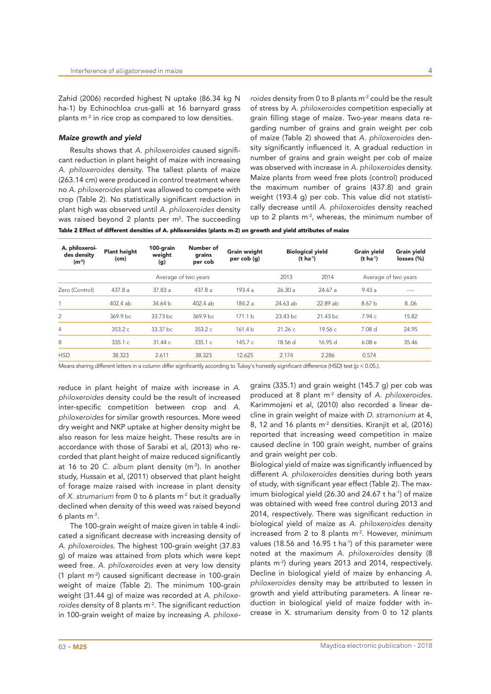Zahid (2006) recorded highest N uptake (86.34 kg N ha-1) by Echinochloa crus-galli at 16 barnyard grass plants  $m<sup>2</sup>$  in rice crop as compared to low densities.

#### *Maize growth and yield*

Results shows that *A. philoxeroides* caused significant reduction in plant height of maize with increasing *A. philoxeroides* density. The tallest plants of maize (263.14 cm) were produced in control treatment where no *A. philoxeroides* plant was allowed to compete with crop (Table 2). No statistically significant reduction in plant high was observed until *A. philoxeroides* density was raised beyond 2 plants per  $m<sup>2</sup>$ . The succeeding *roides* density from 0 to 8 plants m-2 could be the result of stress by *A. philoxeroides* competition especially at grain filling stage of maize. Two-year means data regarding number of grains and grain weight per cob of maize (Table 2) showed that *A. philoxeroides* density significantly influenced it. A gradual reduction in number of grains and grain weight per cob of maize was observed with increase in *A. philoxeroides* density. Maize plants from weed free plots (control) produced the maximum number of grains (437.8) and grain weight (193.4 g) per cob. This value did not statistically decrease until *A. philoxeroides* density reached up to 2 plants  $m<sup>2</sup>$ , whereas, the minimum number of

| <b>Plant height</b><br>(cm) |  |                                                                                          |                                                                                     |                                                                                                                  |                                | $(t \text{ ha}^{-1})$                                                      | Grain yield<br>losses (%)                                            |
|-----------------------------|--|------------------------------------------------------------------------------------------|-------------------------------------------------------------------------------------|------------------------------------------------------------------------------------------------------------------|--------------------------------|----------------------------------------------------------------------------|----------------------------------------------------------------------|
| Average of two years        |  |                                                                                          |                                                                                     | 2013                                                                                                             | 2014                           |                                                                            |                                                                      |
| 437.8a                      |  |                                                                                          |                                                                                     | 26.30a                                                                                                           | 24.67a                         | 9.43a                                                                      | $---$                                                                |
| $402.4$ ab                  |  |                                                                                          |                                                                                     |                                                                                                                  |                                | 8.67 <sub>b</sub>                                                          | 8.06                                                                 |
| 369.9 bc                    |  |                                                                                          |                                                                                     |                                                                                                                  |                                | 7.94 с.                                                                    | 15.82                                                                |
| 353.2 c                     |  |                                                                                          |                                                                                     |                                                                                                                  | 19.56 с                        | 7.08 d                                                                     | 24.95                                                                |
| 335.1 c                     |  |                                                                                          |                                                                                     | 18.56 d                                                                                                          | 16.95 d                        | 6.08e                                                                      | 35.46                                                                |
| 38.323                      |  |                                                                                          |                                                                                     | 2.174                                                                                                            | 2.286                          | 0.574                                                                      |                                                                      |
|                             |  | weight<br>(g)<br>37.83a<br>34.64 <sub>b</sub><br>33.73 bc<br>33.37 bc<br>31.44c<br>2.611 | grains<br>per cob<br>437.8a<br>$402.4$ ab<br>369.9 bc<br>353.2c<br>335.1c<br>38.323 | Grain weight<br>per cob (g)<br>193.4a<br>184.2a<br>171.1 <sub>b</sub><br>161.4 <sub>b</sub><br>145.7 c<br>12.625 | 24.63 ab<br>23.43 bc<br>21.26c | <b>Biological yield</b><br>$(t \text{ ha}^{-1})$<br>22.89 ab<br>$21.43$ bc | Number of<br>100-grain<br><b>Grain yield</b><br>Average of two years |

Table 2 Effect of different densities of A. philoxeroides (plants m-2) on growth and yield attributes of maize

Means sharing different letters in a column differ significantly according to Tukey's honestly significant difference (HSD) test (p < 0.05.).

reduce in plant height of maize with increase in *A. philoxeroides* density could be the result of increased inter-specific competition between crop and *A. philoxeroides* for similar growth resources. More weed dry weight and NKP uptake at higher density might be also reason for less maize height. These results are in accordance with those of Sarabi et al, (2013) who recorded that plant height of maize reduced significantly at 16 to 20 *C. album* plant density (m-2). In another study, Hussain et al, (2011) observed that plant height of forage maize raised with increase in plant density of *X. strumarium* from 0 to 6 plants m-2 but it gradually declined when density of this weed was raised beyond 6 plants m-2.

The 100-grain weight of maize given in table 4 indicated a significant decrease with increasing density of *A. philoxeroides*. The highest 100-grain weight (37.83 g) of maize was attained from plots which were kept weed free. *A. philoxeroides* even at very low density (1 plant m-2) caused significant decrease in 100-grain weight of maize (Table 2). The minimum 100-grain weight (31.44 g) of maize was recorded at *A. philoxeroides* density of 8 plants m-2. The significant reduction in 100-grain weight of maize by increasing *A. philoxe-* grains (335.1) and grain weight (145.7 g) per cob was produced at 8 plant m-2 density of *A. philoxeroides*. Karimmojeni et al, (2010) also recorded a linear decline in grain weight of maize with *D. stramonium* at 4, 8, 12 and 16 plants m<sup>-2</sup> densities. Kiranjit et al, (2016) reported that increasing weed competition in maize caused decline in 100 grain weight, number of grains and grain weight per cob.

Biological yield of maize was significantly influenced by different *A. philoxeroides* densities during both years of study, with significant year effect (Table 2). The maximum biological yield (26.30 and 24.67 t ha<sup>-1</sup>) of maize was obtained with weed free control during 2013 and 2014, respectively. There was significant reduction in biological yield of maize as *A. philoxeroides* density increased from 2 to 8 plants  $m<sup>2</sup>$ . However, minimum values (18.56 and 16.95 t ha<sup>-1</sup>) of this parameter were noted at the maximum *A. philoxeroides* density (8 plants m-2) during years 2013 and 2014, respectively. Decline in biological yield of maize by enhancing *A. philoxeroides* density may be attributed to lessen in growth and yield attributing parameters. A linear reduction in biological yield of maize fodder with increase in X. strumarium density from 0 to 12 plants

 $\Delta$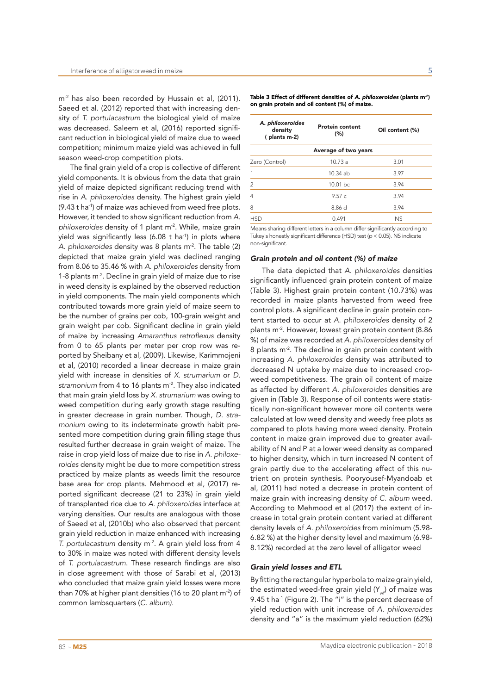m<sup>-2</sup> has also been recorded by Hussain et al, (2011). Saeed et al. (2012) reported that with increasing density of *T. portulacastrum* the biological yield of maize was decreased. Saleem et al, (2016) reported significant reduction in biological yield of maize due to weed competition; minimum maize yield was achieved in full season weed-crop competition plots.

The final grain yield of a crop is collective of different yield components. It is obvious from the data that grain yield of maize depicted significant reducing trend with rise in *A. philoxeroides* density. The highest grain yield (9.43 t ha-1) of maize was achieved from weed free plots. However, it tended to show significant reduction from *A. philoxeroides* density of 1 plant m-2. While, maize grain yield was significantly less (6.08 t ha<sup>-1</sup>) in plots where *A. philoxeroides* density was 8 plants m-2. The table (2) depicted that maize grain yield was declined ranging from 8.06 to 35.46 % with *A. philoxeroides* density from 1-8 plants m<sup>-2</sup>. Decline in grain yield of maize due to rise in weed density is explained by the observed reduction in yield components. The main yield components which contributed towards more grain yield of maize seem to be the number of grains per cob, 100-grain weight and grain weight per cob. Significant decline in grain yield of maize by increasing Amaranthus retroflexus density from 0 to 65 plants per meter per crop row was reported by Sheibany et al, (2009). Likewise, Karimmojeni et al, (2010) recorded a linear decrease in maize grain yield with increase in densities of *X. strumarium* or *D.*  stramonium from 4 to 16 plants m<sup>-2</sup>. They also indicated that main grain yield loss by *X. strumarium* was owing to weed competition during early growth stage resulting in greater decrease in grain number. Though, *D. stramonium* owing to its indeterminate growth habit presented more competition during grain filling stage thus resulted further decrease in grain weight of maize. The raise in crop yield loss of maize due to rise in *A. philoxeroides* density might be due to more competition stress practiced by maize plants as weeds limit the resource base area for crop plants. Mehmood et al, (2017) reported significant decrease (21 to 23%) in grain yield of transplanted rice due to *A. philoxeroides* interface at varying densities. Our results are analogous with those of Saeed et al, (2010b) who also observed that percent grain yield reduction in maize enhanced with increasing *T. portulacastrum* density m-2. A grain yield loss from 4 to 30% in maize was noted with different density levels of *T. portulacastrum*. These research findings are also in close agreement with those of Sarabi et al, (2013) who concluded that maize grain yield losses were more than 70% at higher plant densities (16 to 20 plant m<sup>-2</sup>) of common lambsquarters (*C. album).*

Table 3 Effect of different densities of *A. philoxeroides* (plants m-2) on grain protein and oil content (%) of maize.

| A. philoxeroides<br>density<br>(plants m-2)                                   | <b>Protein content</b><br>(%) | Oil content (%) |  |  |
|-------------------------------------------------------------------------------|-------------------------------|-----------------|--|--|
|                                                                               | Average of two years          |                 |  |  |
| Zero (Control)                                                                | 10.73 a                       | 3.01            |  |  |
| 1                                                                             | 10.34 ab                      | 3.97            |  |  |
| $\overline{2}$                                                                | 10.01 bc                      | 3.94            |  |  |
| 4                                                                             | 9.57c                         | 3.94            |  |  |
| 8                                                                             | 8.86 d                        | 3.94            |  |  |
| <b>HSD</b>                                                                    | 0.491                         | <b>NS</b>       |  |  |
| Means sharing different letters in a solumn differ significantly according to |                               |                 |  |  |

ans sharing different letters in a column differ significantly according to Tukey's honestly significant difference (HSD) test (*p* < 0.05). NS indicate non-significant.

#### *Grain protein and oil content (%) of maize*

The data depicted that *A. philoxeroides* densities significantly influenced grain protein content of maize (Table 3). Highest grain protein content (10.73%) was recorded in maize plants harvested from weed free control plots. A significant decline in grain protein content started to occur at *A. philoxeroides* density of 2 plants m-2. However, lowest grain protein content (8.86 %) of maize was recorded at *A. philoxeroides* density of 8 plants m<sup>-2</sup>. The decline in grain protein content with increasing *A. philoxeroides* density was attributed to decreased N uptake by maize due to increased cropweed competitiveness. The grain oil content of maize as affected by different *A. philoxeroides* densities are given in (Table 3). Response of oil contents were statistically non-significant however more oil contents were calculated at low weed density and weedy free plots as compared to plots having more weed density. Protein content in maize grain improved due to greater availability of N and P at a lower weed density as compared to higher density, which in turn increased N content of grain partly due to the accelerating effect of this nutrient on protein synthesis. Pooryousef-Myandoab et al, (2011) had noted a decrease in protein content of maize grain with increasing density of *C. album* weed. According to Mehmood et al (2017) the extent of increase in total grain protein content varied at different density levels of *A. philoxeroides* from minimum (5.98- 6.82 %) at the higher density level and maximum (6.98- 8.12%) recorded at the zero level of alligator weed

## *Grain yield losses and ETL*

By fitting the rectangular hyperbola to maize grain yield, the estimated weed-free grain yield  $(Y_{i,j})$  of maize was 9.45 t ha<sup>-1</sup> (Figure 2). The "i" is the percent decrease of yield reduction with unit increase of *A. philoxeroides* density and "a" is the maximum yield reduction (62%)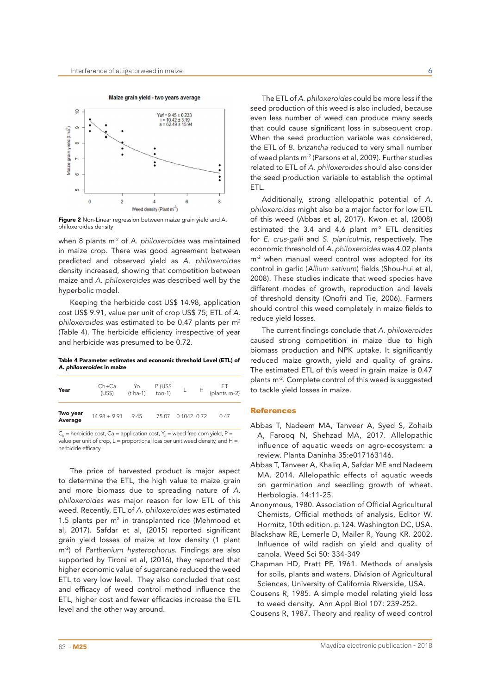



Figure 2 Non-Linear regression between maize grain yield and A. philoxeroides density

when 8 plants m-2 of *A. philoxeroides* was maintained in maize crop. There was good agreement between predicted and observed yield as *A. philoxeroides* density increased, showing that competition between maize and *A. philoxeroides* was described well by the hyperbolic model.

Keeping the herbicide cost US\$ 14.98, application cost US\$ 9.91, value per unit of crop US\$ 75; ETL of *A. philoxeroides* was estimated to be 0.47 plants per m2 (Table 4). The herbicide efficiency irrespective of year and herbicide was presumed to be 0.72.

Table 4 Parameter estimates and economic threshold Level (ETL) of *A. philoxeroides* in maize

| Year                | $Ch+Ca$<br>(US\$)   | $Y_0$ $P (US$$<br>(t ha-1) ton-1) |                   | L $H$ ET<br>(plants m-2) |
|---------------------|---------------------|-----------------------------------|-------------------|--------------------------|
| Two year<br>Average | $14.98 + 9.91$ 9.45 |                                   | 75.07 0.1042 0.72 | 0.47                     |

 $C_h$  = herbicide cost, Ca = application cost, Y<sub>o</sub> = weed free corn yield, P = value per unit of crop,  $L =$  proportional loss per unit weed density, and  $H =$ herbicide efficacy

The price of harvested product is major aspect to determine the ETL, the high value to maize grain and more biomass due to spreading nature of *A. philoxeroides* was major reason for low ETL of this weed. Recently, ETL of *A. philoxeroides* was estimated 1.5 plants per  $m<sup>2</sup>$  in transplanted rice (Mehmood et al, 2017). Safdar et al, (2015) reported significant grain yield losses of maize at low density (1 plant m-2) of *Parthenium hysterophorus*. Findings are also supported by Tironi et al, (2016), they reported that higher economic value of sugarcane reduced the weed ETL to very low level. They also concluded that cost and efficacy of weed control method influence the ETL, higher cost and fewer efficacies increase the ETL level and the other way around.

The ETL of *A. philoxeroides* could be more less if the seed production of this weed is also included, because even less number of weed can produce many seeds that could cause significant loss in subsequent crop. When the seed production variable was considered, the ETL of *B. brizantha* reduced to very small number of weed plants m<sup>-2</sup> (Parsons et al, 2009). Further studies related to ETL of *A. philoxeroides* should also consider the seed production variable to establish the optimal ETL.

Additionally, strong allelopathic potential of *A. philoxeroides* might also be a major factor for low ETL of this weed (Abbas et al, 2017). Kwon et al, (2008) estimated the 3.4 and 4.6 plant  $m<sup>2</sup>$  ETL densities for *E. crus-galli* and *S. planiculmis*, respectively. The economic threshold of *A. philoxeroides* was 4.02 plants m<sup>-2</sup> when manual weed control was adopted for its control in garlic (*Allium sativum*) fields (Shou-hui et al, 2008). These studies indicate that weed species have different modes of growth, reproduction and levels of threshold density (Onofri and Tie, 2006). Farmers should control this weed completely in maize fields to reduce yield losses.

The current findings conclude that *A. philoxeroides* caused strong competition in maize due to high biomass production and NPK uptake. It significantly reduced maize growth, yield and quality of grains. The estimated ETL of this weed in grain maize is 0.47 plants m-2. Complete control of this weed is suggested to tackle yield losses in maize.

#### References

- Abbas T, Nadeem MA, Tanveer A, Syed S, Zohaib A, Farooq N, Shehzad MA, 2017. Allelopathic influence of aquatic weeds on agro-ecosystem: a review. Planta Daninha 35:e017163146.
- Abbas T, Tanveer A, Khaliq A, Safdar ME and Nadeem MA. 2014. Allelopathic effects of aquatic weeds on germination and seedling growth of wheat. Herbologia. 14:11-25.
- Anonymous, 1980. Association of Official Agricultural Chemists, Official methods of analysis, Editor W. Hormitz, 10th edition. p.124. Washington DC, USA.
- Blackshaw RE, Lemerle D, Mailer R, Young KR. 2002. Influence of wild radish on yield and quality of canola. Weed Sci 50: 334-349
- Chapman HD, Pratt PF, 1961. Methods of analysis for soils, plants and waters. Division of Agricultural Sciences, University of California Riverside, USA.
- Cousens R, 1985. A simple model relating yield loss to weed density. Ann Appl Biol 107: 239-252.
- Cousens R, 1987. Theory and reality of weed control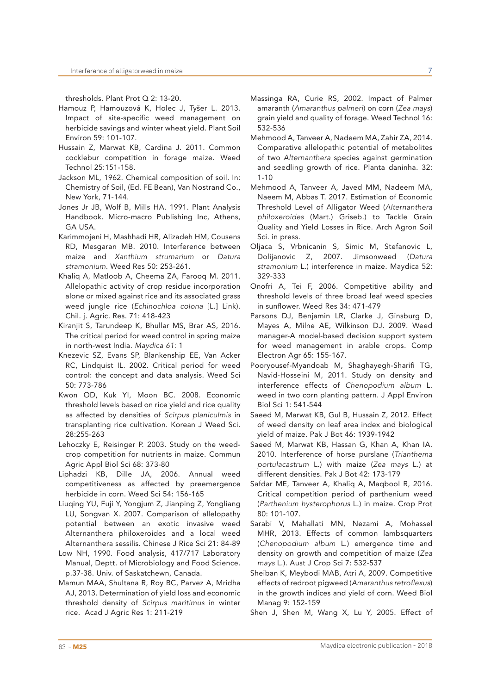thresholds. Plant Prot Q 2: 13-20.

- Hamouz P, Hamouzová K, Holec J, Tyšer L. 2013. Impact of site-specific weed management on herbicide savings and winter wheat yield. Plant Soil Environ 59: 101-107.
- Hussain Z, Marwat KB, Cardina J. 2011. Common cocklebur competition in forage maize. Weed Technol 25:151-158.
- Jackson ML, 1962. Chemical composition of soil. In: Chemistry of Soil, (Ed. FE Bean), Van Nostrand Co., New York, 71-144.
- Jones Jr JB, Wolf B, Mills HA. 1991. Plant Analysis Handbook. Micro-macro Publishing Inc, Athens, GA USA.
- Karimmojeni H, Mashhadi HR, Alizadeh HM, Cousens RD, Mesgaran MB. 2010. Interference between maize and *Xanthium strumarium* or *Datura stramonium*. Weed Res 50: 253-261.
- Khaliq A, Matloob A, Cheema ZA, Farooq M. 2011. Allelopathic activity of crop residue incorporation alone or mixed against rice and its associated grass weed jungle rice (*Echinochloa colona* [L.] Link). Chil. j. Agric. Res. 71: 418-423
- Kiranjit S, Tarundeep K, Bhullar MS, Brar AS, 2016. The critical period for weed control in spring maize in north-west India. *Maydica 61*: 1
- Knezevic SZ, Evans SP, Blankenship EE, Van Acker RC, Lindquist IL. 2002. Critical period for weed control: the concept and data analysis. Weed Sci 50: 773-786
- Kwon OD, Kuk YI, Moon BC. 2008. Economic threshold levels based on rice yield and rice quality as affected by densities of *Scirpus planiculmis* in transplanting rice cultivation. Korean J Weed Sci. 28:255-263
- Lehoczky E, Reisinger P. 2003. Study on the weedcrop competition for nutrients in maize. Commun Agric Appl Biol Sci 68: 373-80
- Liphadzi KB, Dille JA, 2006. Annual weed competitiveness as affected by preemergence herbicide in corn. Weed Sci 54: 156-165
- Liuqing YU, Fuji Y, Yongjum Z, Jianping Z, Yongliang LU, Songvan X. 2007. Comparison of allelopathy potential between an exotic invasive weed Alternanthera philoxeroides and a local weed Alternanthera sessilis. Chinese J Rice Sci 21: 84-89
- Low NH, 1990. Food analysis, 417/717 Laboratory Manual, Deptt. of Microbiology and Food Science. p.37-38. Univ. of Saskatchewn, Canada.
- Mamun MAA, Shultana R, Roy BC, Parvez A, Mridha AJ, 2013. Determination of yield loss and economic threshold density of *Scirpus maritimus* in winter rice. Acad J Agric Res 1: 211-219
- Massinga RA, Curie RS, 2002. Impact of Palmer amaranth (*Amaranthus palmeri*) on corn (*Zea mays*) grain yield and quality of forage. Weed Technol 16: 532-536
- Mehmood A, Tanveer A, Nadeem MA, Zahir ZA, 2014. Comparative allelopathic potential of metabolites of two *Alternanthera* species against germination and seedling growth of rice. Planta daninha. 32: 1-10
- Mehmood A, Tanveer A, Javed MM, Nadeem MA, Naeem M, Abbas T. 2017. Estimation of Economic Threshold Level of Alligator Weed (*Alternanthera philoxeroides* (Mart.) Griseb.) to Tackle Grain Quality and Yield Losses in Rice. Arch Agron Soil Sci. in press.
- Oljaca S, Vrbnicanin S, Simic M, Stefanovic L, Dolijanovic Z, 2007. Jimsonweed (*Datura stramonium* L.) interference in maize. Maydica 52: 329-333
- Onofri A, Tei F, 2006. Competitive ability and threshold levels of three broad leaf weed species in sunflower. Weed Res 34: 471-479
- Parsons DJ, Benjamin LR, Clarke J, Ginsburg D, Mayes A, Milne AE, Wilkinson DJ. 2009. Weed manager-A model-based decision support system for weed management in arable crops. Comp Electron Agr 65: 155-167.
- Pooryousef-Myandoab M, Shaghayegh-Sharifi TG, Navid-Hosseini M, 2011. Study on density and interference effects of *Chenopodium album* L. weed in two corn planting pattern. J Appl Environ Biol Sci 1: 541-544
- Saeed M, Marwat KB, Gul B, Hussain Z, 2012. Effect of weed density on leaf area index and biological yield of maize. Pak J Bot 46: 1939-1942
- Saeed M, Marwat KB, Hassan G, Khan A, Khan IA. 2010. Interference of horse purslane (*Trianthema portulacastrum* L.) with maize (*Zea mays* L.) at different densities. Pak J Bot 42: 173-179
- Safdar ME, Tanveer A, Khaliq A, Maqbool R, 2016. Critical competition period of parthenium weed (*Parthenium hysterophorus* L.) in maize. Crop Prot 80: 101-107.
- Sarabi V, Mahallati MN, Nezami A, Mohassel MHR, 2013. Effects of common lambsquarters (*Chenopodium album* L.) emergence time and density on growth and competition of maize (*Zea mays* L.). Aust J Crop Sci 7: 532-537
- Sheiban K, Meybodi MAB, Atri A, 2009. Competitive effects of redroot pigweed (Amaranthus retroflexus) in the growth indices and yield of corn. Weed Biol Manag 9: 152-159
- Shen J, Shen M, Wang X, Lu Y, 2005. Effect of